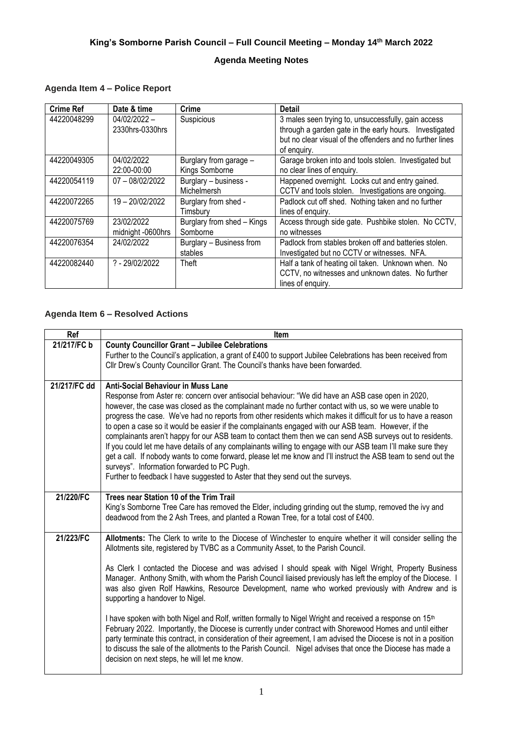# **Agenda Meeting Notes**

# **Agenda Item 4 – Police Report**

| <b>Crime Ref</b> | Date & time                     | Crime                                    | <b>Detail</b>                                                                                                                                                                             |
|------------------|---------------------------------|------------------------------------------|-------------------------------------------------------------------------------------------------------------------------------------------------------------------------------------------|
| 44220048299      | 04/02/2022 -<br>2330hrs-0330hrs | Suspicious                               | 3 males seen trying to, unsuccessfully, gain access<br>through a garden gate in the early hours. Investigated<br>but no clear visual of the offenders and no further lines<br>of enquiry. |
| 44220049305      | 04/02/2022<br>22:00-00:00       | Burglary from garage -<br>Kings Somborne | Garage broken into and tools stolen. Investigated but<br>no clear lines of enquiry.                                                                                                       |
| 44220054119      | 07-08/02/2022                   | Burglary - business -<br>Michelmersh     | Happened overnight. Locks cut and entry gained.<br>CCTV and tools stolen. Investigations are ongoing.                                                                                     |
| 44220072265      | 19 - 20/02/2022                 | Burglary from shed -<br>Timsbury         | Padlock cut off shed. Nothing taken and no further<br>lines of enquiry.                                                                                                                   |
| 44220075769      | 23/02/2022<br>midnight -0600hrs | Burglary from shed - Kings<br>Somborne   | Access through side gate. Pushbike stolen. No CCTV,<br>no witnesses                                                                                                                       |
| 44220076354      | 24/02/2022                      | Burglary - Business from<br>stables      | Padlock from stables broken off and batteries stolen.<br>Investigated but no CCTV or witnesses. NFA.                                                                                      |
| 44220082440      | $? - 29/02/2022$                | Theft                                    | Half a tank of heating oil taken. Unknown when. No<br>CCTV, no witnesses and unknown dates. No further<br>lines of enquiry.                                                               |

# **Agenda Item 6 – Resolved Actions**

| Ref          | Item                                                                                                                                                                                                                                                                                                                                                                                                                                                                                                                  |
|--------------|-----------------------------------------------------------------------------------------------------------------------------------------------------------------------------------------------------------------------------------------------------------------------------------------------------------------------------------------------------------------------------------------------------------------------------------------------------------------------------------------------------------------------|
| 21/217/FC b  | <b>County Councillor Grant - Jubilee Celebrations</b>                                                                                                                                                                                                                                                                                                                                                                                                                                                                 |
|              | Further to the Council's application, a grant of £400 to support Jubilee Celebrations has been received from                                                                                                                                                                                                                                                                                                                                                                                                          |
|              | Cllr Drew's County Councillor Grant. The Council's thanks have been forwarded.                                                                                                                                                                                                                                                                                                                                                                                                                                        |
| 21/217/FC dd | <b>Anti-Social Behaviour in Muss Lane</b>                                                                                                                                                                                                                                                                                                                                                                                                                                                                             |
|              | Response from Aster re: concern over antisocial behaviour: "We did have an ASB case open in 2020,                                                                                                                                                                                                                                                                                                                                                                                                                     |
|              | however, the case was closed as the complainant made no further contact with us, so we were unable to<br>progress the case. We've had no reports from other residents which makes it difficult for us to have a reason                                                                                                                                                                                                                                                                                                |
|              | to open a case so it would be easier if the complainants engaged with our ASB team. However, if the<br>complainants aren't happy for our ASB team to contact them then we can send ASB surveys out to residents.                                                                                                                                                                                                                                                                                                      |
|              | If you could let me have details of any complainants willing to engage with our ASB team I'll make sure they<br>get a call. If nobody wants to come forward, please let me know and I'll instruct the ASB team to send out the                                                                                                                                                                                                                                                                                        |
|              | surveys". Information forwarded to PC Pugh.                                                                                                                                                                                                                                                                                                                                                                                                                                                                           |
|              | Further to feedback I have suggested to Aster that they send out the surveys.                                                                                                                                                                                                                                                                                                                                                                                                                                         |
| 21/220/FC    | Trees near Station 10 of the Trim Trail                                                                                                                                                                                                                                                                                                                                                                                                                                                                               |
|              | King's Somborne Tree Care has removed the Elder, including grinding out the stump, removed the ivy and<br>deadwood from the 2 Ash Trees, and planted a Rowan Tree, for a total cost of £400.                                                                                                                                                                                                                                                                                                                          |
| 21/223/FC    | Allotments: The Clerk to write to the Diocese of Winchester to enquire whether it will consider selling the<br>Allotments site, registered by TVBC as a Community Asset, to the Parish Council.                                                                                                                                                                                                                                                                                                                       |
|              | As Clerk I contacted the Diocese and was advised I should speak with Nigel Wright, Property Business<br>Manager. Anthony Smith, with whom the Parish Council liaised previously has left the employ of the Diocese. I<br>was also given Rolf Hawkins, Resource Development, name who worked previously with Andrew and is<br>supporting a handover to Nigel.                                                                                                                                                          |
|              | I have spoken with both Nigel and Rolf, written formally to Nigel Wright and received a response on 15 <sup>th</sup><br>February 2022. Importantly, the Diocese is currently under contract with Shorewood Homes and until either<br>party terminate this contract, in consideration of their agreement, I am advised the Diocese is not in a position<br>to discuss the sale of the allotments to the Parish Council. Nigel advises that once the Diocese has made a<br>decision on next steps, he will let me know. |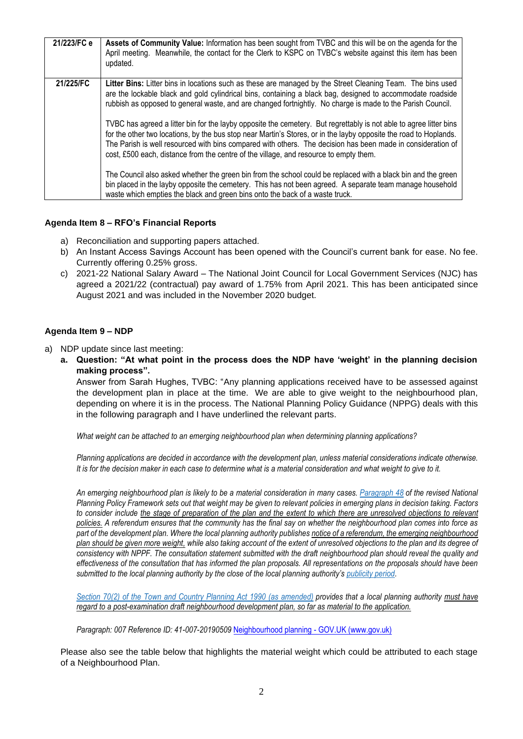| 21/223/FC e | Assets of Community Value: Information has been sought from TVBC and this will be on the agenda for the<br>April meeting. Meanwhile, the contact for the Clerk to KSPC on TVBC's website against this item has been<br>updated.                                                                                                                                                                                                                 |
|-------------|-------------------------------------------------------------------------------------------------------------------------------------------------------------------------------------------------------------------------------------------------------------------------------------------------------------------------------------------------------------------------------------------------------------------------------------------------|
| 21/225/FC   | Litter Bins: Litter bins in locations such as these are managed by the Street Cleaning Team. The bins used<br>are the lockable black and gold cylindrical bins, containing a black bag, designed to accommodate roadside<br>rubbish as opposed to general waste, and are changed fortnightly. No charge is made to the Parish Council.                                                                                                          |
|             | TVBC has agreed a litter bin for the layby opposite the cemetery. But regrettably is not able to agree litter bins<br>for the other two locations, by the bus stop near Martin's Stores, or in the layby opposite the road to Hoplands.<br>The Parish is well resourced with bins compared with others. The decision has been made in consideration of<br>cost, £500 each, distance from the centre of the village, and resource to empty them. |
|             | The Council also asked whether the green bin from the school could be replaced with a black bin and the green<br>bin placed in the layby opposite the cemetery. This has not been agreed. A separate team manage household<br>waste which empties the black and green bins onto the back of a waste truck.                                                                                                                                      |

### **Agenda Item 8 – RFO's Financial Reports**

- a) Reconciliation and supporting papers attached.
- b) An Instant Access Savings Account has been opened with the Council's current bank for ease. No fee. Currently offering 0.25% gross.
- c) 2021-22 National Salary Award The National Joint Council for Local Government Services (NJC) has agreed a 2021/22 (contractual) pay award of 1.75% from April 2021. This has been anticipated since August 2021 and was included in the November 2020 budget.

### **Agenda Item 9 – NDP**

#### a) NDP update since last meeting:

**a. Question: "At what point in the process does the NDP have 'weight' in the planning decision making process".**

Answer from Sarah Hughes, TVBC: "Any planning applications received have to be assessed against the development plan in place at the time. We are able to give weight to the neighbourhood plan, depending on where it is in the process. The National Planning Policy Guidance (NPPG) deals with this in the following paragraph and I have underlined the relevant parts.

*What weight can be attached to an emerging neighbourhood plan when determining planning applications?*

*Planning applications are decided in accordance with the development plan, unless material considerations indicate otherwise. It is for the decision maker in each case to determine what is a material consideration and what weight to give to it.*

*An emerging neighbourhood plan is likely to be a material consideration in many cases. [Paragraph 48](https://www.gov.uk/guidance/national-planning-policy-framework/4-decision-making#para48) of the revised National Planning Policy Framework sets out that weight may be given to relevant policies in emerging plans in decision taking. Factors*  to consider include the stage of preparation of the plan and the extent to which there are unresolved objections to relevant *policies. A referendum ensures that the community has the final say on whether the neighbourhood plan comes into force as part of the development plan. Where the local planning authority publishes notice of a referendum, the emerging neighbourhood plan should be given more weight, while also taking account of the extent of unresolved objections to the plan and its degree of consistency with NPPF. The consultation statement submitted with the draft neighbourhood plan should reveal the quality and effectiveness of the consultation that has informed the plan proposals. All representations on the proposals should have been submitted to the local planning authority by the close of the local planning authority's [publicity period.](https://www.gov.uk/guidance/neighbourhood-planning--2#draft-neighbourhood-plan-meets-requirement)*

*[Section 70\(2\) of the Town and Country Planning Act 1990 \(as amended\)](http://www.legislation.gov.uk/ukpga/1990/8/section/70) provides that a local planning authority must have regard to a post-examination draft neighbourhood development plan, so far as material to the application.*

*Paragraph: 007 Reference ID: 41-007-20190509* Neighbourhood planning - GOV.UK (www.gov.uk)

Please also see the table below that highlights the material weight which could be attributed to each stage of a Neighbourhood Plan.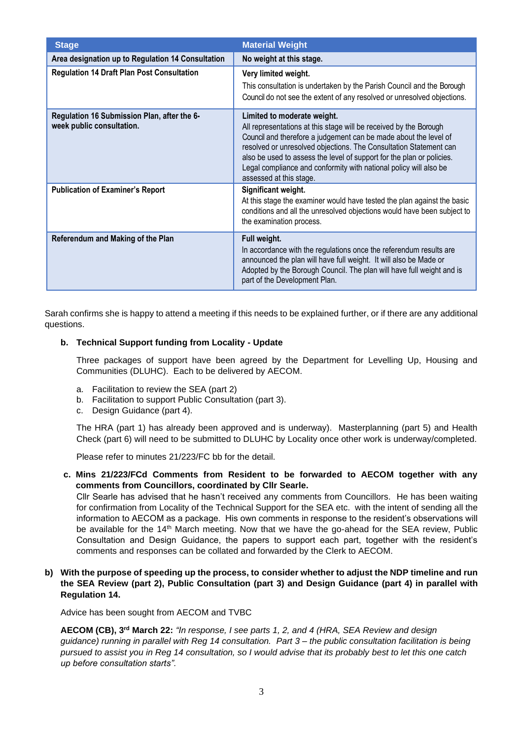| <b>Stage</b>                                                             | <b>Material Weight</b>                                                                                                                                                                                                                                                                                                                                                                                             |
|--------------------------------------------------------------------------|--------------------------------------------------------------------------------------------------------------------------------------------------------------------------------------------------------------------------------------------------------------------------------------------------------------------------------------------------------------------------------------------------------------------|
| Area designation up to Regulation 14 Consultation                        | No weight at this stage.                                                                                                                                                                                                                                                                                                                                                                                           |
| <b>Regulation 14 Draft Plan Post Consultation</b>                        | Very limited weight.<br>This consultation is undertaken by the Parish Council and the Borough<br>Council do not see the extent of any resolved or unresolved objections.                                                                                                                                                                                                                                           |
| Regulation 16 Submission Plan, after the 6-<br>week public consultation. | Limited to moderate weight.<br>All representations at this stage will be received by the Borough<br>Council and therefore a judgement can be made about the level of<br>resolved or unresolved objections. The Consultation Statement can<br>also be used to assess the level of support for the plan or policies.<br>Legal compliance and conformity with national policy will also be<br>assessed at this stage. |
| <b>Publication of Examiner's Report</b>                                  | Significant weight.<br>At this stage the examiner would have tested the plan against the basic<br>conditions and all the unresolved objections would have been subject to<br>the examination process.                                                                                                                                                                                                              |
| Referendum and Making of the Plan                                        | Full weight.<br>In accordance with the regulations once the referendum results are<br>announced the plan will have full weight. It will also be Made or<br>Adopted by the Borough Council. The plan will have full weight and is<br>part of the Development Plan.                                                                                                                                                  |

Sarah confirms she is happy to attend a meeting if this needs to be explained further, or if there are any additional questions.

# **b. Technical Support funding from Locality - Update**

Three packages of support have been agreed by the Department for Levelling Up, Housing and Communities (DLUHC). Each to be delivered by AECOM.

- a. Facilitation to review the SEA (part 2)
- b. Facilitation to support Public Consultation (part 3).
- c. Design Guidance (part 4).

The HRA (part 1) has already been approved and is underway). Masterplanning (part 5) and Health Check (part 6) will need to be submitted to DLUHC by Locality once other work is underway/completed.

Please refer to minutes 21/223/FC bb for the detail.

**c. Mins 21/223/FCd Comments from Resident to be forwarded to AECOM together with any comments from Councillors, coordinated by Cllr Searle.** 

Cllr Searle has advised that he hasn't received any comments from Councillors. He has been waiting for confirmation from Locality of the Technical Support for the SEA etc. with the intent of sending all the information to AECOM as a package. His own comments in response to the resident's observations will be available for the 14<sup>th</sup> March meeting. Now that we have the go-ahead for the SEA review, Public Consultation and Design Guidance, the papers to support each part, together with the resident's comments and responses can be collated and forwarded by the Clerk to AECOM.

**b) With the purpose of speeding up the process, to consider whether to adjust the NDP timeline and run the SEA Review (part 2), Public Consultation (part 3) and Design Guidance (part 4) in parallel with Regulation 14.** 

Advice has been sought from AECOM and TVBC

**AECOM (CB), 3rd March 22:** *"In response, I see parts 1, 2, and 4 (HRA, SEA Review and design guidance) running in parallel with Reg 14 consultation. Part 3 – the public consultation facilitation is being pursued to assist you in Reg 14 consultation, so I would advise that its probably best to let this one catch up before consultation starts".*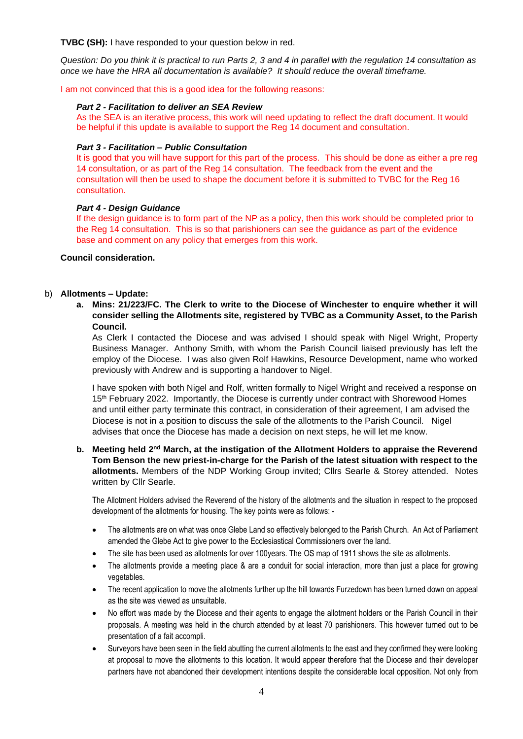**TVBC (SH):** I have responded to your question below in red.

*Question: Do you think it is practical to run Parts 2, 3 and 4 in parallel with the regulation 14 consultation as once we have the HRA all documentation is available? It should reduce the overall timeframe.* 

I am not convinced that this is a good idea for the following reasons:

#### *Part 2 - Facilitation to deliver an SEA Review*

As the SEA is an iterative process, this work will need updating to reflect the draft document. It would be helpful if this update is available to support the Reg 14 document and consultation.

#### *Part 3 - Facilitation – Public Consultation*

It is good that you will have support for this part of the process. This should be done as either a pre reg 14 consultation, or as part of the Reg 14 consultation. The feedback from the event and the consultation will then be used to shape the document before it is submitted to TVBC for the Reg 16 consultation.

#### *Part 4 - Design Guidance*

If the design guidance is to form part of the NP as a policy, then this work should be completed prior to the Reg 14 consultation. This is so that parishioners can see the guidance as part of the evidence base and comment on any policy that emerges from this work.

#### **Council consideration.**

#### b) **Allotments – Update:**

**a. Mins: 21/223/FC. The Clerk to write to the Diocese of Winchester to enquire whether it will consider selling the Allotments site, registered by TVBC as a Community Asset, to the Parish Council.** 

As Clerk I contacted the Diocese and was advised I should speak with Nigel Wright, Property Business Manager. Anthony Smith, with whom the Parish Council liaised previously has left the employ of the Diocese. I was also given Rolf Hawkins, Resource Development, name who worked previously with Andrew and is supporting a handover to Nigel.

I have spoken with both Nigel and Rolf, written formally to Nigel Wright and received a response on 15<sup>th</sup> February 2022. Importantly, the Diocese is currently under contract with Shorewood Homes and until either party terminate this contract, in consideration of their agreement, I am advised the Diocese is not in a position to discuss the sale of the allotments to the Parish Council. Nigel advises that once the Diocese has made a decision on next steps, he will let me know.

**b.** Meeting held 2<sup>nd</sup> March, at the instigation of the Allotment Holders to appraise the Reverend **Tom Benson the new priest-in-charge for the Parish of the latest situation with respect to the allotments.** Members of the NDP Working Group invited; Cllrs Searle & Storey attended. Notes written by Cllr Searle.

The Allotment Holders advised the Reverend of the history of the allotments and the situation in respect to the proposed development of the allotments for housing. The key points were as follows: -

- The allotments are on what was once Glebe Land so effectively belonged to the Parish Church. An Act of Parliament amended the Glebe Act to give power to the Ecclesiastical Commissioners over the land.
- The site has been used as allotments for over 100years. The OS map of 1911 shows the site as allotments.
- The allotments provide a meeting place & are a conduit for social interaction, more than just a place for growing vegetables.
- The recent application to move the allotments further up the hill towards Furzedown has been turned down on appeal as the site was viewed as unsuitable.
- No effort was made by the Diocese and their agents to engage the allotment holders or the Parish Council in their proposals. A meeting was held in the church attended by at least 70 parishioners. This however turned out to be presentation of a fait accompli.
- Surveyors have been seen in the field abutting the current allotments to the east and they confirmed they were looking at proposal to move the allotments to this location. It would appear therefore that the Diocese and their developer partners have not abandoned their development intentions despite the considerable local opposition. Not only from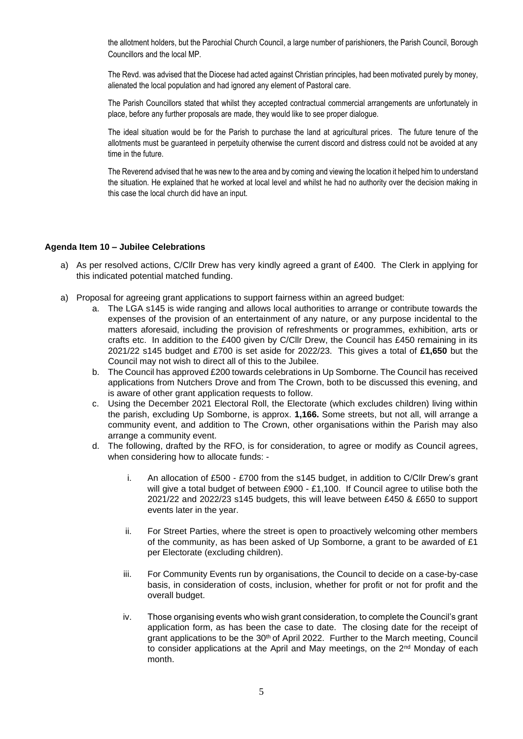the allotment holders, but the Parochial Church Council, a large number of parishioners, the Parish Council, Borough Councillors and the local MP.

The Revd. was advised that the Diocese had acted against Christian principles, had been motivated purely by money, alienated the local population and had ignored any element of Pastoral care.

The Parish Councillors stated that whilst they accepted contractual commercial arrangements are unfortunately in place, before any further proposals are made, they would like to see proper dialogue.

The ideal situation would be for the Parish to purchase the land at agricultural prices. The future tenure of the allotments must be guaranteed in perpetuity otherwise the current discord and distress could not be avoided at any time in the future.

The Reverend advised that he was new to the area and by coming and viewing the location it helped him to understand the situation. He explained that he worked at local level and whilst he had no authority over the decision making in this case the local church did have an input.

#### **Agenda Item 10 – Jubilee Celebrations**

- a) As per resolved actions, C/Cllr Drew has very kindly agreed a grant of £400. The Clerk in applying for this indicated potential matched funding.
- a) Proposal for agreeing grant applications to support fairness within an agreed budget:
	- a. The LGA s145 is wide ranging and allows local authorities to arrange or contribute towards the expenses of the provision of an entertainment of any nature, or any purpose incidental to the matters aforesaid, including the provision of refreshments or programmes, exhibition, arts or crafts etc. In addition to the £400 given by C/Cllr Drew, the Council has £450 remaining in its 2021/22 s145 budget and £700 is set aside for 2022/23. This gives a total of **£1,650** but the Council may not wish to direct all of this to the Jubilee.
	- b. The Council has approved £200 towards celebrations in Up Somborne. The Council has received applications from Nutchers Drove and from The Crown, both to be discussed this evening, and is aware of other grant application requests to follow.
	- c. Using the December 2021 Electoral Roll, the Electorate (which excludes children) living within the parish, excluding Up Somborne, is approx. **1,166.** Some streets, but not all, will arrange a community event, and addition to The Crown, other organisations within the Parish may also arrange a community event.
	- d. The following, drafted by the RFO, is for consideration, to agree or modify as Council agrees, when considering how to allocate funds:
		- i. An allocation of £500 £700 from the s145 budget, in addition to C/Cllr Drew's grant will give a total budget of between £900 - £1,100. If Council agree to utilise both the 2021/22 and 2022/23 s145 budgets, this will leave between £450 & £650 to support events later in the year.
		- ii. For Street Parties, where the street is open to proactively welcoming other members of the community, as has been asked of Up Somborne, a grant to be awarded of £1 per Electorate (excluding children).
		- iii. For Community Events run by organisations, the Council to decide on a case-by-case basis, in consideration of costs, inclusion, whether for profit or not for profit and the overall budget.
		- iv. Those organising events who wish grant consideration, to complete the Council's grant application form, as has been the case to date. The closing date for the receipt of grant applications to be the  $30<sup>th</sup>$  of April 2022. Further to the March meeting, Council to consider applications at the April and May meetings, on the 2<sup>nd</sup> Monday of each month.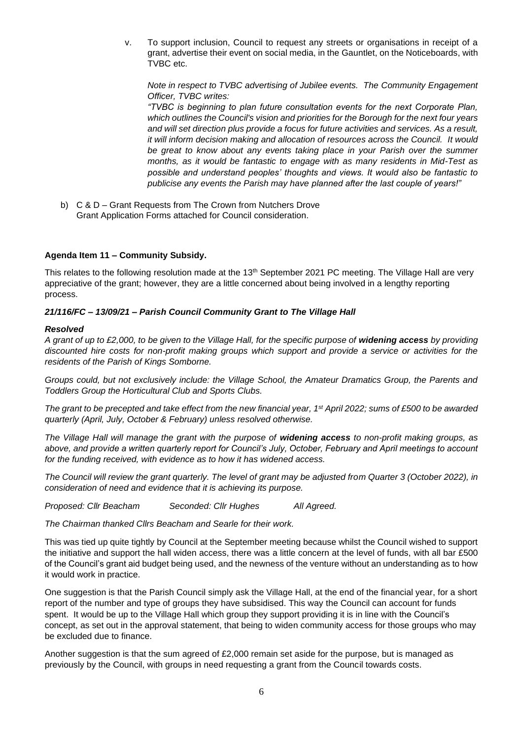v. To support inclusion, Council to request any streets or organisations in receipt of a grant, advertise their event on social media, in the Gauntlet, on the Noticeboards, with TVBC etc.

*Note in respect to TVBC advertising of Jubilee events. The Community Engagement Officer, TVBC writes:* 

*"TVBC is beginning to plan future consultation events for the next Corporate Plan, which outlines the Council's vision and priorities for the Borough for the next four years and will set direction plus provide a focus for future activities and services. As a result, it will inform decision making and allocation of resources across the Council. It would be great to know about any events taking place in your Parish over the summer months, as it would be fantastic to engage with as many residents in Mid-Test as possible and understand peoples' thoughts and views. It would also be fantastic to publicise any events the Parish may have planned after the last couple of years!"* 

b) C & D – Grant Requests from The Crown from Nutchers Drove Grant Application Forms attached for Council consideration.

### **Agenda Item 11 – Community Subsidy.**

This relates to the following resolution made at the 13<sup>th</sup> September 2021 PC meeting. The Village Hall are very appreciative of the grant; however, they are a little concerned about being involved in a lengthy reporting process.

#### *21/116/FC – 13/09/21 – Parish Council Community Grant to The Village Hall*

#### *Resolved*

*A grant of up to £2,000, to be given to the Village Hall, for the specific purpose of widening access by providing discounted hire costs for non-profit making groups which support and provide a service or activities for the residents of the Parish of Kings Somborne.*

*Groups could, but not exclusively include: the Village School, the Amateur Dramatics Group, the Parents and Toddlers Group the Horticultural Club and Sports Clubs.* 

*The grant to be precepted and take effect from the new financial year, 1st April 2022; sums of £500 to be awarded quarterly (April, July, October & February) unless resolved otherwise.* 

*The Village Hall will manage the grant with the purpose of widening access to non-profit making groups, as*  above, and provide a written quarterly report for Council's July, October, February and April meetings to account *for the funding received, with evidence as to how it has widened access.* 

*The Council will review the grant quarterly. The level of grant may be adjusted from Quarter 3 (October 2022), in consideration of need and evidence that it is achieving its purpose.* 

*Proposed: Cllr Beacham Seconded: Cllr Hughes All Agreed.*

*The Chairman thanked Cllrs Beacham and Searle for their work.* 

This was tied up quite tightly by Council at the September meeting because whilst the Council wished to support the initiative and support the hall widen access, there was a little concern at the level of funds, with all bar £500 of the Council's grant aid budget being used, and the newness of the venture without an understanding as to how it would work in practice.

One suggestion is that the Parish Council simply ask the Village Hall, at the end of the financial year, for a short report of the number and type of groups they have subsidised. This way the Council can account for funds spent. It would be up to the Village Hall which group they support providing it is in line with the Council's concept, as set out in the approval statement, that being to widen community access for those groups who may be excluded due to finance.

Another suggestion is that the sum agreed of £2,000 remain set aside for the purpose, but is managed as previously by the Council, with groups in need requesting a grant from the Council towards costs.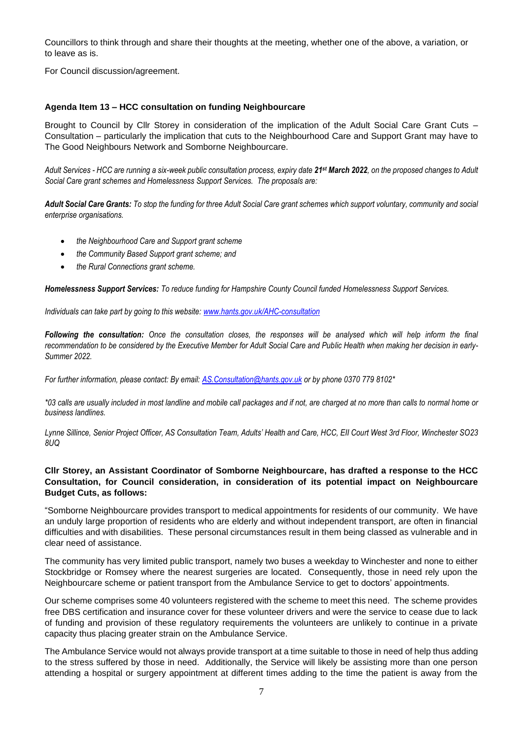Councillors to think through and share their thoughts at the meeting, whether one of the above, a variation, or to leave as is.

For Council discussion/agreement.

## **Agenda Item 13 – HCC consultation on funding Neighbourcare**

Brought to Council by Cllr Storey in consideration of the implication of the Adult Social Care Grant Cuts – Consultation – particularly the implication that cuts to the Neighbourhood Care and Support Grant may have to The Good Neighbours Network and Somborne Neighbourcare.

*Adult Services - HCC are running a six-week public consultation process, expiry date 21st March 2022, on the proposed changes to Adult Social Care grant schemes and Homelessness Support Services. The proposals are:*

*Adult Social Care Grants: To stop the funding for three Adult Social Care grant schemes which support voluntary, community and social enterprise organisations.*

- *the Neighbourhood Care and Support grant scheme*
- *the Community Based Support grant scheme; and*
- *the Rural Connections grant scheme.*

*Homelessness Support Services: To reduce funding for Hampshire County Council funded Homelessness Support Services.*

*Individuals can take part by going to this website: [www.hants.gov.uk/AHC-consultation](http://www.hants.gov.uk/AHC-consultation)*

*Following the consultation: Once the consultation closes, the responses will be analysed which will help inform the final recommendation to be considered by the Executive Member for Adult Social Care and Public Health when making her decision in early-Summer 2022.*

*For further information, please contact: By email: [AS.Consultation@hants.gov.uk](mailto:AS.Consultation@hants.gov.uk) or by phone 0370 779 8102\**

*\*03 calls are usually included in most landline and mobile call packages and if not, are charged at no more than calls to normal home or business landlines.*

Lynne Sillince, Senior Project Officer, AS Consultation Team, Adults' Health and Care, HCC, Ell Court West 3rd Floor, Winchester SO23 *8UQ*

# **Cllr Storey, an Assistant Coordinator of Somborne Neighbourcare, has drafted a response to the HCC Consultation, for Council consideration, in consideration of its potential impact on Neighbourcare Budget Cuts, as follows:**

"Somborne Neighbourcare provides transport to medical appointments for residents of our community. We have an unduly large proportion of residents who are elderly and without independent transport, are often in financial difficulties and with disabilities. These personal circumstances result in them being classed as vulnerable and in clear need of assistance.

The community has very limited public transport, namely two buses a weekday to Winchester and none to either Stockbridge or Romsey where the nearest surgeries are located. Consequently, those in need rely upon the Neighbourcare scheme or patient transport from the Ambulance Service to get to doctors' appointments.

Our scheme comprises some 40 volunteers registered with the scheme to meet this need. The scheme provides free DBS certification and insurance cover for these volunteer drivers and were the service to cease due to lack of funding and provision of these regulatory requirements the volunteers are unlikely to continue in a private capacity thus placing greater strain on the Ambulance Service.

The Ambulance Service would not always provide transport at a time suitable to those in need of help thus adding to the stress suffered by those in need. Additionally, the Service will likely be assisting more than one person attending a hospital or surgery appointment at different times adding to the time the patient is away from the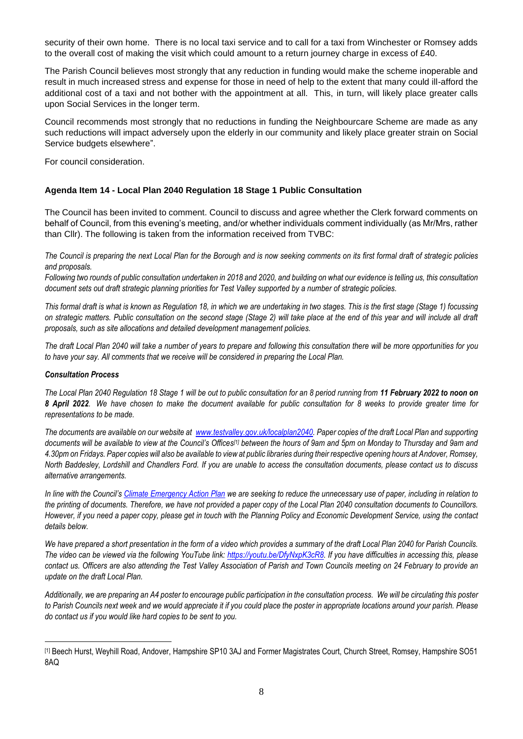security of their own home. There is no local taxi service and to call for a taxi from Winchester or Romsey adds to the overall cost of making the visit which could amount to a return journey charge in excess of £40.

The Parish Council believes most strongly that any reduction in funding would make the scheme inoperable and result in much increased stress and expense for those in need of help to the extent that many could ill-afford the additional cost of a taxi and not bother with the appointment at all. This, in turn, will likely place greater calls upon Social Services in the longer term.

Council recommends most strongly that no reductions in funding the Neighbourcare Scheme are made as any such reductions will impact adversely upon the elderly in our community and likely place greater strain on Social Service budgets elsewhere".

For council consideration.

# **Agenda Item 14 - Local Plan 2040 Regulation 18 Stage 1 Public Consultation**

The Council has been invited to comment. Council to discuss and agree whether the Clerk forward comments on behalf of Council, from this evening's meeting, and/or whether individuals comment individually (as Mr/Mrs, rather than Cllr). The following is taken from the information received from TVBC:

*The Council is preparing the next Local Plan for the Borough and is now seeking comments on its first formal draft of strategic policies and proposals.* 

*Following two rounds of public consultation undertaken in 2018 and 2020, and building on what our evidence is telling us, this consultation document sets out draft strategic planning priorities for Test Valley supported by a number of strategic policies.*

*This formal draft is what is known as Regulation 18, in which we are undertaking in two stages. This is the first stage (Stage 1) focussing on strategic matters. Public consultation on the second stage (Stage 2) will take place at the end of this year and will include all draft proposals, such as site allocations and detailed development management policies.*

*The draft Local Plan 2040 will take a number of years to prepare and following this consultation there will be more opportunities for you to have your say. All comments that we receive will be considered in preparing the Local Plan.* 

#### *Consultation Process*

*The Local Plan 2040 Regulation 18 Stage 1 will be out to public consultation for an 8 period running from 11 February 2022 to noon on 8 April 2022. We have chosen to make the document available for public consultation for 8 weeks to provide greater time for representations to be made.* 

*The documents are available on our website at [www.testvalley.gov.uk/localplan2040.](http://www.testvalley.gov.uk/localplan2040) Paper copies of the draft Local Plan and supporting documents will be available to view at the Council's Offices[1] between the hours of 9am and 5pm on Monday to Thursday and 9am and 4.30pm on Fridays. Paper copies will also be available to view at public libraries during their respective opening hours at Andover, Romsey, North Baddesley, Lordshill and Chandlers Ford. If you are unable to access the consultation documents, please contact us to discuss alternative arrangements.* 

*In line with the Council's [Climate Emergency Action Plan](https://testvalley.gov.uk/aboutyourcouncil/corporatedirection/environmentandsustainability/climate-emergency-action-plan) we are seeking to reduce the unnecessary use of paper, including in relation to the printing of documents. Therefore, we have not provided a paper copy of the Local Plan 2040 consultation documents to Councillors. However, if you need a paper copy, please get in touch with the Planning Policy and Economic Development Service, using the contact details below.*

*We have prepared a short presentation in the form of a video which provides a summary of the draft Local Plan 2040 for Parish Councils. The video can be viewed via the following YouTube link: [https://youtu.be/DfyNxpK3cR8.](https://youtu.be/DfyNxpK3cR8) If you have difficulties in accessing this, please contact us. Officers are also attending the Test Valley Association of Parish and Town Councils meeting on 24 February to provide an update on the draft Local Plan.* 

*Additionally, we are preparing an A4 poster to encourage public participation in the consultation process. We will be circulating this poster to Parish Councils next week and we would appreciate it if you could place the poster in appropriate locations around your parish. Please do contact us if you would like hard copies to be sent to you.* 

<sup>[1]</sup> Beech Hurst, Weyhill Road, Andover, Hampshire SP10 3AJ and Former Magistrates Court, Church Street, Romsey, Hampshire SO51 8AQ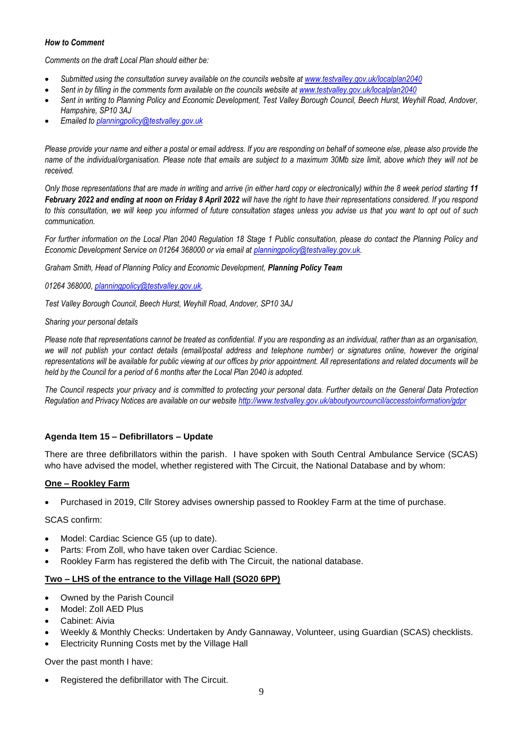#### *How to Comment*

*Comments on the draft Local Plan should either be:*

- *Submitted using the consultation survey available on the councils website at [www.testvalley.gov.uk/localplan2040](http://www.testvalley.gov.uk/localplan2040)*
- Sent in by filling in the comments form available on the councils website a[t www.testvalley.gov.uk/localplan2040](http://www.testvalley.gov.uk/localplan2040)
- *Sent in writing to Planning Policy and Economic Development, Test Valley Borough Council, Beech Hurst, Weyhill Road, Andover, Hampshire, SP10 3AJ*
- *Emailed to [planningpolicy@testvalley.gov.uk](mailto:planningpolicy@testvalley.gov.uk)*

*Please provide your name and either a postal or email address. If you are responding on behalf of someone else, please also provide the name of the individual/organisation. Please note that emails are subject to a maximum 30Mb size limit, above which they will not be received.* 

*Only those representations that are made in writing and arrive (in either hard copy or electronically) within the 8 week period starting 11 February 2022 and ending at noon on Friday 8 April 2022 will have the right to have their representations considered. If you respond to this consultation, we will keep you informed of future consultation stages unless you advise us that you want to opt out of such communication.* 

*For further information on the Local Plan 2040 Regulation 18 Stage 1 Public consultation, please do contact the Planning Policy and Economic Development Service on 01264 368000 or via email at [planningpolicy@testvalley.gov.uk.](mailto:planningpolicy@testvalley.gov.uk)*

*Graham Smith, Head of Planning Policy and Economic Development, Planning Policy Team*

*01264 368000, [planningpolicy@testvalley.gov.uk,](mailto:planningpolicy@testvalley.gov.uk)* 

*Test Valley Borough Council, Beech Hurst, Weyhill Road, Andover, SP10 3AJ*

#### *Sharing your personal details*

*Please note that representations cannot be treated as confidential. If you are responding as an individual, rather than as an organisation,*  we will not publish your contact details (email/postal address and telephone number) or signatures online, however the original *representations will be available for public viewing at our offices by prior appointment. All representations and related documents will be held by the Council for a period of 6 months after the Local Plan 2040 is adopted.* 

*The Council respects your privacy and is committed to protecting your personal data. Further details on the General Data Protection Regulation and Privacy Notices are available on our websit[e http://www.testvalley.gov.uk/aboutyourcouncil/accesstoinformation/gdpr](http://www.testvalley.gov.uk/aboutyourcouncil/accesstoinformation/gdpr)*

# **Agenda Item 15 – Defibrillators – Update**

There are three defibrillators within the parish. I have spoken with South Central Ambulance Service (SCAS) who have advised the model, whether registered with The Circuit, the National Database and by whom:

# **One – Rookley Farm**

• Purchased in 2019, Cllr Storey advises ownership passed to Rookley Farm at the time of purchase.

# SCAS confirm:

- Model: Cardiac Science G5 (up to date).
- Parts: From Zoll, who have taken over Cardiac Science.
- Rookley Farm has registered the defib with The Circuit, the national database.

# **Two – LHS of the entrance to the Village Hall (SO20 6PP)**

- Owned by the Parish Council
- Model: Zoll AED Plus
- Cabinet: Aivia
- Weekly & Monthly Checks: Undertaken by Andy Gannaway, Volunteer, using Guardian (SCAS) checklists.
- Electricity Running Costs met by the Village Hall

Over the past month I have:

• Registered the defibrillator with The Circuit.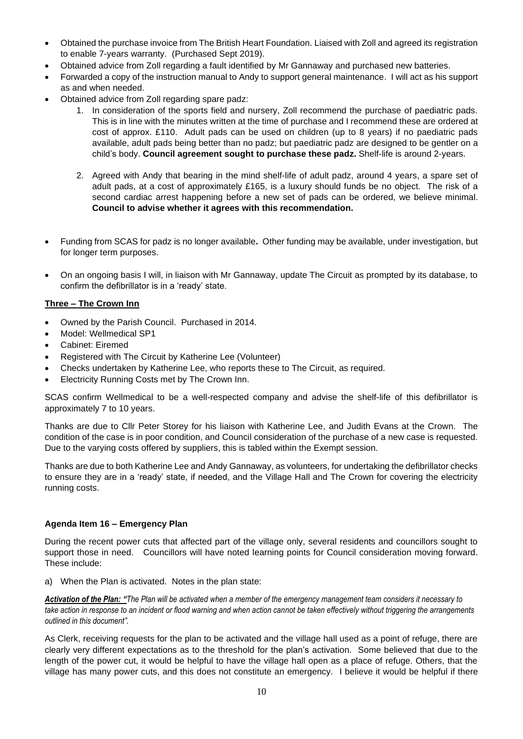- Obtained the purchase invoice from The British Heart Foundation. Liaised with Zoll and agreed its registration to enable 7-years warranty. (Purchased Sept 2019).
- Obtained advice from Zoll regarding a fault identified by Mr Gannaway and purchased new batteries.
- Forwarded a copy of the instruction manual to Andy to support general maintenance. I will act as his support as and when needed.
- Obtained advice from Zoll regarding spare padz:
	- 1. In consideration of the sports field and nursery, Zoll recommend the purchase of paediatric pads. This is in line with the minutes written at the time of purchase and I recommend these are ordered at cost of approx. £110. Adult pads can be used on children (up to 8 years) if no paediatric pads available, adult pads being better than no padz; but paediatric padz are designed to be gentler on a child's body. **Council agreement sought to purchase these padz.** Shelf-life is around 2-years.
	- 2. Agreed with Andy that bearing in the mind shelf-life of adult padz, around 4 years, a spare set of adult pads, at a cost of approximately £165, is a luxury should funds be no object. The risk of a second cardiac arrest happening before a new set of pads can be ordered, we believe minimal. **Council to advise whether it agrees with this recommendation.**
- Funding from SCAS for padz is no longer available**.** Other funding may be available, under investigation, but for longer term purposes.
- On an ongoing basis I will, in liaison with Mr Gannaway, update The Circuit as prompted by its database, to confirm the defibrillator is in a 'ready' state.

# **Three – The Crown Inn**

- Owned by the Parish Council. Purchased in 2014.
- Model: Wellmedical SP1
- Cabinet: Eiremed
- Registered with The Circuit by Katherine Lee (Volunteer)
- Checks undertaken by Katherine Lee, who reports these to The Circuit, as required.
- Electricity Running Costs met by The Crown Inn.

SCAS confirm Wellmedical to be a well-respected company and advise the shelf-life of this defibrillator is approximately 7 to 10 years.

Thanks are due to Cllr Peter Storey for his liaison with Katherine Lee, and Judith Evans at the Crown. The condition of the case is in poor condition, and Council consideration of the purchase of a new case is requested. Due to the varying costs offered by suppliers, this is tabled within the Exempt session.

Thanks are due to both Katherine Lee and Andy Gannaway, as volunteers, for undertaking the defibrillator checks to ensure they are in a 'ready' state, if needed, and the Village Hall and The Crown for covering the electricity running costs.

# **Agenda Item 16 – Emergency Plan**

During the recent power cuts that affected part of the village only, several residents and councillors sought to support those in need. Councillors will have noted learning points for Council consideration moving forward. These include:

a) When the Plan is activated. Notes in the plan state:

*Activation of the Plan: "The Plan will be activated when a member of the emergency management team considers it necessary to take action in response to an incident or flood warning and when action cannot be taken effectively without triggering the arrangements outlined in this document".*

As Clerk, receiving requests for the plan to be activated and the village hall used as a point of refuge, there are clearly very different expectations as to the threshold for the plan's activation. Some believed that due to the length of the power cut, it would be helpful to have the village hall open as a place of refuge. Others, that the village has many power cuts, and this does not constitute an emergency. I believe it would be helpful if there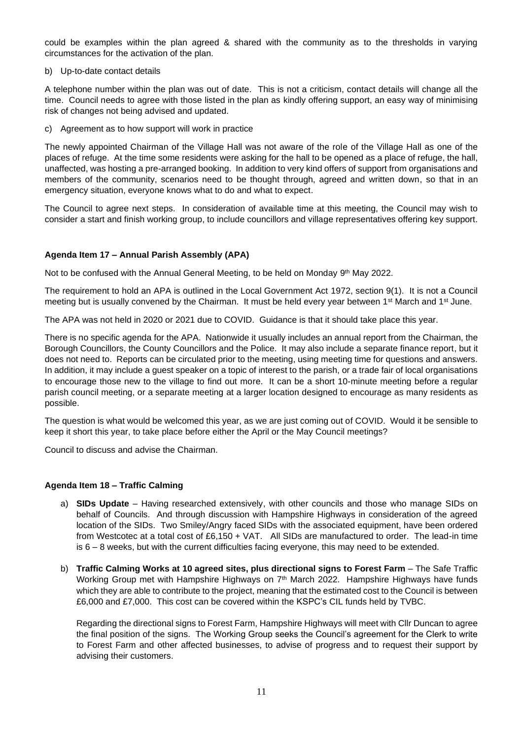could be examples within the plan agreed & shared with the community as to the thresholds in varying circumstances for the activation of the plan.

#### b) Up-to-date contact details

A telephone number within the plan was out of date. This is not a criticism, contact details will change all the time. Council needs to agree with those listed in the plan as kindly offering support, an easy way of minimising risk of changes not being advised and updated.

c) Agreement as to how support will work in practice

The newly appointed Chairman of the Village Hall was not aware of the role of the Village Hall as one of the places of refuge. At the time some residents were asking for the hall to be opened as a place of refuge, the hall, unaffected, was hosting a pre-arranged booking. In addition to very kind offers of support from organisations and members of the community, scenarios need to be thought through, agreed and written down, so that in an emergency situation, everyone knows what to do and what to expect.

The Council to agree next steps. In consideration of available time at this meeting, the Council may wish to consider a start and finish working group, to include councillors and village representatives offering key support.

# **Agenda Item 17 – Annual Parish Assembly (APA)**

Not to be confused with the Annual General Meeting, to be held on Monday  $9<sup>th</sup>$  May 2022.

The requirement to hold an APA is outlined in the Local Government Act 1972, section 9(1). It is not a Council meeting but is usually convened by the Chairman. It must be held every year between 1<sup>st</sup> March and 1<sup>st</sup> June.

The APA was not held in 2020 or 2021 due to COVID. Guidance is that it should take place this year.

There is no specific agenda for the APA. Nationwide it usually includes an annual report from the Chairman, the Borough Councillors, the County Councillors and the Police. It may also include a separate finance report, but it does not need to. Reports can be circulated prior to the meeting, using meeting time for questions and answers. In addition, it may include a guest speaker on a topic of interest to the parish, or a trade fair of local organisations to encourage those new to the village to find out more. It can be a short 10-minute meeting before a regular parish council meeting, or a separate meeting at a larger location designed to encourage as many residents as possible.

The question is what would be welcomed this year, as we are just coming out of COVID. Would it be sensible to keep it short this year, to take place before either the April or the May Council meetings?

Council to discuss and advise the Chairman.

# **Agenda Item 18 – Traffic Calming**

- a) **SIDs Update**  Having researched extensively, with other councils and those who manage SIDs on behalf of Councils. And through discussion with Hampshire Highways in consideration of the agreed location of the SIDs. Two Smiley/Angry faced SIDs with the associated equipment, have been ordered from Westcotec at a total cost of £6,150 + VAT. All SIDs are manufactured to order. The lead-in time is 6 – 8 weeks, but with the current difficulties facing everyone, this may need to be extended.
- b) **Traffic Calming Works at 10 agreed sites, plus directional signs to Forest Farm** The Safe Traffic Working Group met with Hampshire Highways on 7<sup>th</sup> March 2022. Hampshire Highways have funds which they are able to contribute to the project, meaning that the estimated cost to the Council is between £6,000 and £7,000. This cost can be covered within the KSPC's CIL funds held by TVBC.

Regarding the directional signs to Forest Farm, Hampshire Highways will meet with Cllr Duncan to agree the final position of the signs. The Working Group seeks the Council's agreement for the Clerk to write to Forest Farm and other affected businesses, to advise of progress and to request their support by advising their customers.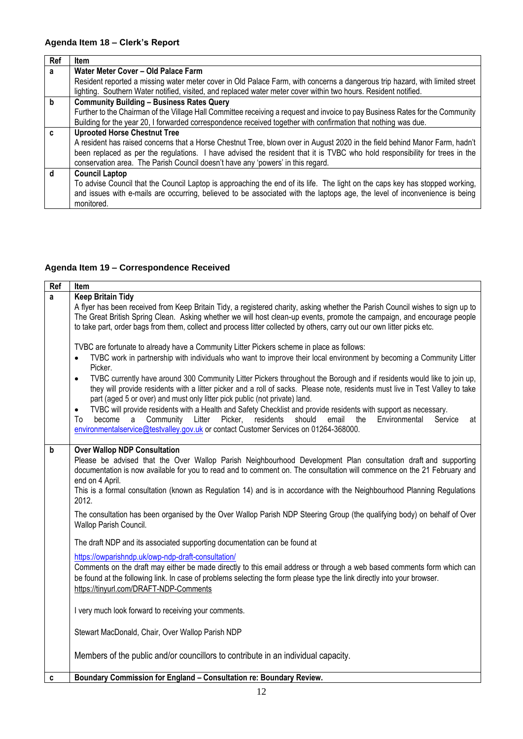# **Agenda Item 18 – Clerk's Report**

| Ref | <b>Item</b>                                                                                                                   |
|-----|-------------------------------------------------------------------------------------------------------------------------------|
| a   | Water Meter Cover - Old Palace Farm                                                                                           |
|     | Resident reported a missing water meter cover in Old Palace Farm, with concerns a dangerous trip hazard, with limited street  |
|     | lighting. Southern Water notified, visited, and replaced water meter cover within two hours. Resident notified.               |
| b   | <b>Community Building - Business Rates Query</b>                                                                              |
|     | Further to the Chairman of the Village Hall Committee receiving a request and invoice to pay Business Rates for the Community |
|     | Building for the year 20, I forwarded correspondence received together with confirmation that nothing was due.                |
| C   | <b>Uprooted Horse Chestnut Tree</b>                                                                                           |
|     | A resident has raised concerns that a Horse Chestnut Tree, blown over in August 2020 in the field behind Manor Farm, hadn't   |
|     | been replaced as per the regulations. I have advised the resident that it is TVBC who hold responsibility for trees in the    |
|     | conservation area. The Parish Council doesn't have any 'powers' in this regard.                                               |
| d   | <b>Council Laptop</b>                                                                                                         |
|     | To advise Council that the Council Laptop is approaching the end of its life. The light on the caps key has stopped working,  |
|     | and issues with e-mails are occurring, believed to be associated with the laptops age, the level of inconvenience is being    |
|     | monitored.                                                                                                                    |

# **Agenda Item 19 – Correspondence Received**

| Ref         | Item                                                                                                                                                                                                                                                                                                                                                                                                                                                                                                                                                                                                                                                                                                                                                                                                                                                                                                                                              |
|-------------|---------------------------------------------------------------------------------------------------------------------------------------------------------------------------------------------------------------------------------------------------------------------------------------------------------------------------------------------------------------------------------------------------------------------------------------------------------------------------------------------------------------------------------------------------------------------------------------------------------------------------------------------------------------------------------------------------------------------------------------------------------------------------------------------------------------------------------------------------------------------------------------------------------------------------------------------------|
| a           | <b>Keep Britain Tidy</b><br>A flyer has been received from Keep Britain Tidy, a registered charity, asking whether the Parish Council wishes to sign up to<br>The Great British Spring Clean. Asking whether we will host clean-up events, promote the campaign, and encourage people<br>to take part, order bags from them, collect and process litter collected by others, carry out our own litter picks etc.                                                                                                                                                                                                                                                                                                                                                                                                                                                                                                                                  |
|             | TVBC are fortunate to already have a Community Litter Pickers scheme in place as follows:<br>TVBC work in partnership with individuals who want to improve their local environment by becoming a Community Litter<br>$\bullet$<br>Picker.<br>TVBC currently have around 300 Community Litter Pickers throughout the Borough and if residents would like to join up,<br>$\bullet$<br>they will provide residents with a litter picker and a roll of sacks. Please note, residents must live in Test Valley to take<br>part (aged 5 or over) and must only litter pick public (not private) land.<br>TVBC will provide residents with a Health and Safety Checklist and provide residents with support as necessary.<br>$\bullet$<br>Community Litter Picker,<br>residents<br>become<br>a<br>should<br>email<br>the<br>Environmental<br>Service<br>To<br>at<br>environmentalservice@testvalley.gov.uk or contact Customer Services on 01264-368000. |
| $\mathbf b$ | <b>Over Wallop NDP Consultation</b><br>Please be advised that the Over Wallop Parish Neighbourhood Development Plan consultation draft and supporting<br>documentation is now available for you to read and to comment on. The consultation will commence on the 21 February and<br>end on 4 April.<br>This is a formal consultation (known as Regulation 14) and is in accordance with the Neighbourhood Planning Regulations<br>2012.                                                                                                                                                                                                                                                                                                                                                                                                                                                                                                           |
|             | The consultation has been organised by the Over Wallop Parish NDP Steering Group (the qualifying body) on behalf of Over<br>Wallop Parish Council.                                                                                                                                                                                                                                                                                                                                                                                                                                                                                                                                                                                                                                                                                                                                                                                                |
|             | The draft NDP and its associated supporting documentation can be found at                                                                                                                                                                                                                                                                                                                                                                                                                                                                                                                                                                                                                                                                                                                                                                                                                                                                         |
|             | https://owparishndp.uk/owp-ndp-draft-consultation/<br>Comments on the draft may either be made directly to this email address or through a web based comments form which can<br>be found at the following link. In case of problems selecting the form please type the link directly into your browser.<br>https://tinyurl.com/DRAFT-NDP-Comments                                                                                                                                                                                                                                                                                                                                                                                                                                                                                                                                                                                                 |
|             | I very much look forward to receiving your comments.                                                                                                                                                                                                                                                                                                                                                                                                                                                                                                                                                                                                                                                                                                                                                                                                                                                                                              |
|             | Stewart MacDonald, Chair, Over Wallop Parish NDP                                                                                                                                                                                                                                                                                                                                                                                                                                                                                                                                                                                                                                                                                                                                                                                                                                                                                                  |
|             | Members of the public and/or councillors to contribute in an individual capacity.                                                                                                                                                                                                                                                                                                                                                                                                                                                                                                                                                                                                                                                                                                                                                                                                                                                                 |
| c           | Boundary Commission for England - Consultation re: Boundary Review.                                                                                                                                                                                                                                                                                                                                                                                                                                                                                                                                                                                                                                                                                                                                                                                                                                                                               |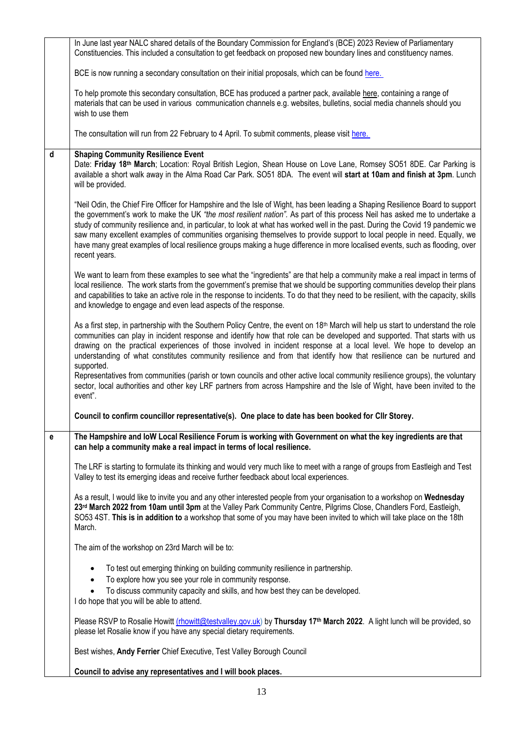|   | In June last year NALC shared details of the Boundary Commission for England's (BCE) 2023 Review of Parliamentary<br>Constituencies. This included a consultation to get feedback on proposed new boundary lines and constituency names.                                                                                                                                                                                                                                                                                                                                                                                                                                                                                                                                                                          |
|---|-------------------------------------------------------------------------------------------------------------------------------------------------------------------------------------------------------------------------------------------------------------------------------------------------------------------------------------------------------------------------------------------------------------------------------------------------------------------------------------------------------------------------------------------------------------------------------------------------------------------------------------------------------------------------------------------------------------------------------------------------------------------------------------------------------------------|
|   | BCE is now running a secondary consultation on their initial proposals, which can be found here.                                                                                                                                                                                                                                                                                                                                                                                                                                                                                                                                                                                                                                                                                                                  |
|   | To help promote this secondary consultation, BCE has produced a partner pack, available here, containing a range of<br>materials that can be used in various communication channels e.g. websites, bulletins, social media channels should you<br>wish to use them                                                                                                                                                                                                                                                                                                                                                                                                                                                                                                                                                |
|   | The consultation will run from 22 February to 4 April. To submit comments, please visit here.                                                                                                                                                                                                                                                                                                                                                                                                                                                                                                                                                                                                                                                                                                                     |
| d | <b>Shaping Community Resilience Event</b><br>Date: Friday 18th March; Location: Royal British Legion, Shean House on Love Lane, Romsey SO51 8DE. Car Parking is<br>available a short walk away in the Alma Road Car Park. SO51 8DA. The event will start at 10am and finish at 3pm. Lunch<br>will be provided.                                                                                                                                                                                                                                                                                                                                                                                                                                                                                                    |
|   | "Neil Odin, the Chief Fire Officer for Hampshire and the Isle of Wight, has been leading a Shaping Resilience Board to support<br>the government's work to make the UK "the most resilient nation". As part of this process Neil has asked me to undertake a<br>study of community resilience and, in particular, to look at what has worked well in the past. During the Covid 19 pandemic we<br>saw many excellent examples of communities organising themselves to provide support to local people in need. Equally, we<br>have many great examples of local resilience groups making a huge difference in more localised events, such as flooding, over<br>recent years.                                                                                                                                      |
|   | We want to learn from these examples to see what the "ingredients" are that help a community make a real impact in terms of<br>local resilience. The work starts from the government's premise that we should be supporting communities develop their plans<br>and capabilities to take an active role in the response to incidents. To do that they need to be resilient, with the capacity, skills<br>and knowledge to engage and even lead aspects of the response.                                                                                                                                                                                                                                                                                                                                            |
|   | As a first step, in partnership with the Southern Policy Centre, the event on 18 <sup>th</sup> March will help us start to understand the role<br>communities can play in incident response and identify how that role can be developed and supported. That starts with us<br>drawing on the practical experiences of those involved in incident response at a local level. We hope to develop an<br>understanding of what constitutes community resilience and from that identify how that resilience can be nurtured and<br>supported.<br>Representatives from communities (parish or town councils and other active local community resilience groups), the voluntary<br>sector, local authorities and other key LRF partners from across Hampshire and the Isle of Wight, have been invited to the<br>event". |
|   | Council to confirm councillor representative(s). One place to date has been booked for Cllr Storey.                                                                                                                                                                                                                                                                                                                                                                                                                                                                                                                                                                                                                                                                                                               |
| е | The Hampshire and loW Local Resilience Forum is working with Government on what the key ingredients are that<br>can help a community make a real impact in terms of local resilience.                                                                                                                                                                                                                                                                                                                                                                                                                                                                                                                                                                                                                             |
|   | The LRF is starting to formulate its thinking and would very much like to meet with a range of groups from Eastleigh and Test<br>Valley to test its emerging ideas and receive further feedback about local experiences.                                                                                                                                                                                                                                                                                                                                                                                                                                                                                                                                                                                          |
|   | As a result, I would like to invite you and any other interested people from your organisation to a workshop on Wednesday<br>23rd March 2022 from 10am until 3pm at the Valley Park Community Centre, Pilgrims Close, Chandlers Ford, Eastleigh,<br>SO53 4ST. This is in addition to a workshop that some of you may have been invited to which will take place on the 18th<br>March.                                                                                                                                                                                                                                                                                                                                                                                                                             |
|   | The aim of the workshop on 23rd March will be to:                                                                                                                                                                                                                                                                                                                                                                                                                                                                                                                                                                                                                                                                                                                                                                 |
|   | To test out emerging thinking on building community resilience in partnership.<br>$\bullet$<br>To explore how you see your role in community response.<br>$\bullet$<br>To discuss community capacity and skills, and how best they can be developed.<br>$\bullet$<br>I do hope that you will be able to attend.                                                                                                                                                                                                                                                                                                                                                                                                                                                                                                   |
|   | Please RSVP to Rosalie Howitt (rhowitt@testvalley.gov.uk) by Thursday 17 <sup>th</sup> March 2022. A light lunch will be provided, so<br>please let Rosalie know if you have any special dietary requirements.                                                                                                                                                                                                                                                                                                                                                                                                                                                                                                                                                                                                    |
|   | Best wishes, Andy Ferrier Chief Executive, Test Valley Borough Council                                                                                                                                                                                                                                                                                                                                                                                                                                                                                                                                                                                                                                                                                                                                            |
|   | Council to advise any representatives and I will book places.                                                                                                                                                                                                                                                                                                                                                                                                                                                                                                                                                                                                                                                                                                                                                     |